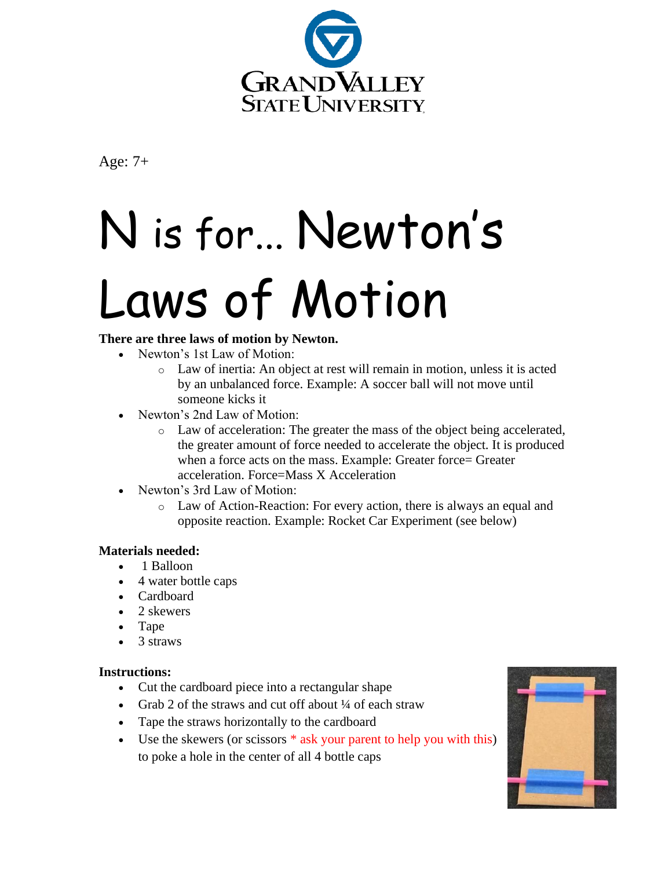

Age: 7+

# N is for... Newton's Laws of Motion

# **There are three laws of motion by Newton.**

- Newton's 1st Law of Motion:
	- o Law of inertia: An object at rest will remain in motion, unless it is acted by an unbalanced force. Example: A soccer ball will not move until someone kicks it
- Newton's 2nd Law of Motion:
	- o Law of acceleration: The greater the mass of the object being accelerated, the greater amount of force needed to accelerate the object. It is produced when a force acts on the mass. Example: Greater force= Greater acceleration. Force=Mass X Acceleration
- Newton's 3rd Law of Motion:
	- o Law of Action-Reaction: For every action, there is always an equal and opposite reaction. Example: Rocket Car Experiment (see below)

## **Materials needed:**

- 1 Balloon
- 4 water bottle caps
- Cardboard
- 2 skewers
- Tape
- 3 straws

## **Instructions:**

- Cut the cardboard piece into a rectangular shape
- Grab 2 of the straws and cut off about 1/4 of each straw
- Tape the straws horizontally to the cardboard
- Use the skewers (or scissors  $*$  ask your parent to help you with this) to poke a hole in the center of all 4 bottle caps